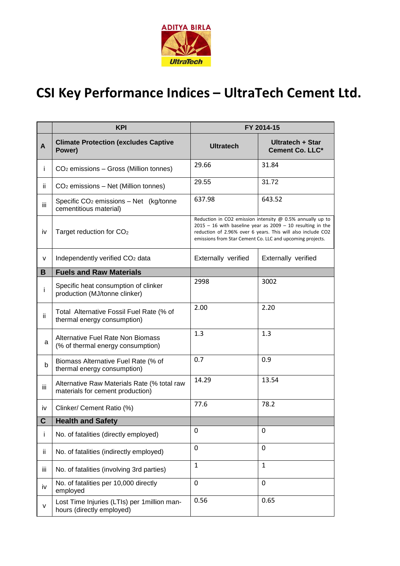

## **CSI Key Performance Indices – UltraTech Cement Ltd.**

|      | <b>KPI</b>                                                                      | FY 2014-15                                                                                                                                                                                                                                                |                                     |
|------|---------------------------------------------------------------------------------|-----------------------------------------------------------------------------------------------------------------------------------------------------------------------------------------------------------------------------------------------------------|-------------------------------------|
| A    | <b>Climate Protection (excludes Captive</b><br>Power)                           | <b>Ultratech</b>                                                                                                                                                                                                                                          | Ultratech + Star<br>Cement Co. LLC* |
| Ť    | CO <sub>2</sub> emissions - Gross (Million tonnes)                              | 29.66                                                                                                                                                                                                                                                     | 31.84                               |
| ii.  | $CO2$ emissions – Net (Million tonnes)                                          | 29.55                                                                                                                                                                                                                                                     | 31.72                               |
| iii. | Specific $CO2$ emissions - Net (kg/tonne<br>cementitious material)              | 637.98                                                                                                                                                                                                                                                    | 643.52                              |
| iv   | Target reduction for CO <sub>2</sub>                                            | Reduction in CO2 emission intensity $@$ 0.5% annually up to<br>$2015 - 16$ with baseline year as $2009 - 10$ resulting in the<br>reduction of 2.96% over 6 years. This will also include CO2<br>emissions from Star Cement Co. LLC and upcoming projects. |                                     |
| V    | Independently verified CO <sub>2</sub> data                                     | Externally verified                                                                                                                                                                                                                                       | Externally verified                 |
| B    | <b>Fuels and Raw Materials</b>                                                  |                                                                                                                                                                                                                                                           |                                     |
| İ.   | Specific heat consumption of clinker<br>production (MJ/tonne clinker)           | 2998                                                                                                                                                                                                                                                      | 3002                                |
| ii   | Total Alternative Fossil Fuel Rate (% of<br>thermal energy consumption)         | 2.00                                                                                                                                                                                                                                                      | 2.20                                |
| a    | <b>Alternative Fuel Rate Non Biomass</b><br>(% of thermal energy consumption)   | 1.3                                                                                                                                                                                                                                                       | 1.3                                 |
| b    | Biomass Alternative Fuel Rate (% of<br>thermal energy consumption)              | 0.7                                                                                                                                                                                                                                                       | 0.9                                 |
| iii  | Alternative Raw Materials Rate (% total raw<br>materials for cement production) | 14.29                                                                                                                                                                                                                                                     | 13.54                               |
| İV   | Clinker/ Cement Ratio (%)                                                       | 77.6                                                                                                                                                                                                                                                      | 78.2                                |
|      | <b>Health and Safety</b>                                                        |                                                                                                                                                                                                                                                           |                                     |
| j.   | No. of fatalities (directly employed)                                           | 0                                                                                                                                                                                                                                                         | 0                                   |
| ij.  | No. of fatalities (indirectly employed)                                         | 0                                                                                                                                                                                                                                                         | $\Omega$                            |
| iii  | No. of fatalities (involving 3rd parties)                                       | $\mathbf{1}$                                                                                                                                                                                                                                              | $\mathbf{1}$                        |
| iv   | No. of fatalities per 10,000 directly<br>employed                               | $\mathbf 0$                                                                                                                                                                                                                                               | $\overline{0}$                      |
| v    | Lost Time Injuries (LTIs) per 1 million man-<br>hours (directly employed)       | 0.56                                                                                                                                                                                                                                                      | 0.65                                |